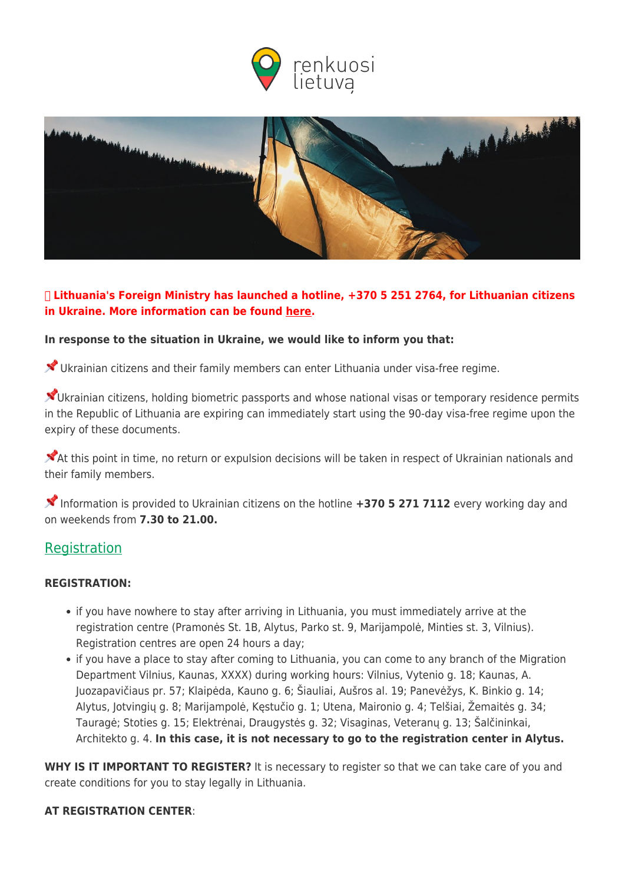



# ❗ **Lithuania's Foreign Ministry has launched a hotline, +370 5 251 2764, for Lithuanian citizens in Ukraine. More information can be found [here.](https://www.urm.lt/default/en/news/important-information-for-lithuanian-citizens-in-ukraine)**

## **In response to the situation in Ukraine, we would like to inform you that:**

Ukrainian citizens and their family members can enter Lithuania under visa-free regime.

X Ukrainian citizens, holding biometric passports and whose national visas or temporary residence permits in the Republic of Lithuania are expiring can immediately start using the 90-day visa-free regime upon the expiry of these documents.

 $\blacktriangleright$  At this point in time, no return or expulsion decisions will be taken in respect of Ukrainian nationals and their family members.

 Information is provided to Ukrainian citizens on the hotline **+370 5 271 7112** every working day and on weekends from **7.30 to 21.00.**

# **[Registration](#page--1-0)**

## **REGISTRATION:**

- if you have nowhere to stay after arriving in Lithuania, you must immediately arrive at the registration centre (Pramonės St. 1B, Alytus, Parko st. 9, Marijampolė, Minties st. 3, Vilnius). Registration centres are open 24 hours a day;
- if you have a place to stay after coming to Lithuania, you can come to any branch of the Migration Department Vilnius, Kaunas, XXXX) during working hours: Vilnius, Vytenio g. 18; Kaunas, A. Juozapavičiaus pr. 57; Klaipėda, Kauno g. 6; Šiauliai, Aušros al. 19; Panevėžys, K. Binkio g. 14; Alytus, Jotvingių g. 8; Marijampolė, Kęstučio g. 1; Utena, Maironio g. 4; Telšiai, Žemaitės g. 34; Tauragė; Stoties g. 15; Elektrėnai, Draugystės g. 32; Visaginas, Veteranų g. 13; Šalčininkai, Architekto g. 4. **In this case, it is not necessary to go to the registration center in Alytus.**

WHY IS IT IMPORTANT TO REGISTER? It is necessary to register so that we can take care of you and create conditions for you to stay legally in Lithuania.

#### **AT REGISTRATION CENTER**: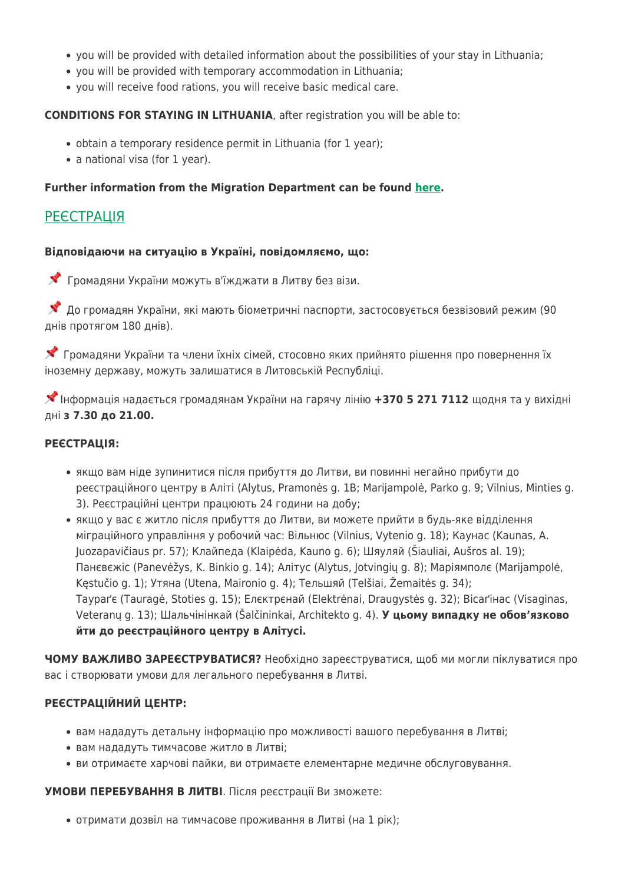- you will be provided with detailed information about the possibilities of your stay in Lithuania;
- you will be provided with temporary accommodation in Lithuania;
- you will receive food rations, you will receive basic medical care.

#### **CONDITIONS FOR STAYING IN LITHUANIA**, after registration you will be able to:

- obtain a temporary residence permit in Lithuania (for 1 year);
- a national visa (for 1 year).

## **Further information from the Migration Department can be found [here.](https://migracija.lrv.lt/lt/naudinga-informacija/ukraina-ukrayina-ukraina-ukraine/information-for-ukrainian-citizens)**

# **[РЕЄСТРАЦІЯ](#page--1-0)**

#### **Відповідаючи на ситуацію в Україні, повідомляємо, що:**

Громадяни України можуть в'їжджати в Литву без візи.

 До громадян України, які мають біометричні паспорти, застосовується безвізовий режим (90 днів протягом 180 днів).

 Громадяни України та члени їхніх сімей, стосовно яких прийнято рішення про повернення їх іноземну державу, можуть залишатися в Литовській Республіці.

Інформація надається громадянам України на гарячу лінію **+370 5 271 7112** щодня та у вихідні дні **з 7.30 до 21.00.**

#### **РЕЄСТРАЦІЯ:**

- якщо вам ніде зупинитися після прибуття до Литви, ви повинні негайно прибути до реєстраційного центру в Аліті (Alytus, Pramonės g. 1B; Marijampolė, Parko g. 9; Vilnius, Minties g. 3). Реєстраційні центри працюють 24 години на добу;
- якщо у вас є житло після прибуття до Литви, ви можете прийти в будь-яке відділення міграційного управління у робочий час: Вільнюс (Vilnius, Vytenio g. 18); Каунас (Kaunas, A. Juozapavičiaus pr. 57); Клайпеда (Klaipėda, Kauno g. 6); Шяуляй (Šiauliai, Aušros al. 19); Панєвєжіс (Panevėžys, K. Binkio g. 14); Алітус (Alytus, Jotvingių g. 8); Маріямполє (Marijampolė, Kęstučio g. 1); Утяна (Utena, Maironio g. 4); Тельшяй (Telšiai, Žemaitės g. 34); Таураґє (Tauragė, Stoties g. 15); Елєктрєнай (Elektrėnai, Draugystės g. 32); Вісаґінас (Visaginas, Veteranų g. 13); Шальчінінкай (Šalčininkai, Architekto g. 4). **У цьому випадку не обов'язково йти до реєстраційного центру в Алітусі.**

**ЧОМУ ВАЖЛИВО ЗАРЕЄСТРУВАТИСЯ?** Необхідно зареєструватися, щоб ми могли піклуватися про вас і створювати умови для легального перебування в Литві.

## **РЕЄСТРАЦІЙНИЙ ЦЕНТР:**

- вам нададуть детальну інформацію про можливості вашого перебування в Литві;
- вам нададуть тимчасове житло в Литві;
- ви отримаєте харчові пайки, ви отримаєте елементарне медичне обслуговування.

**УМОВИ ПЕРЕБУВАННЯ В ЛИТВІ**. Після реєстрації Ви зможете:

отримати дозвіл на тимчасове проживання в Литві (на 1 рік);